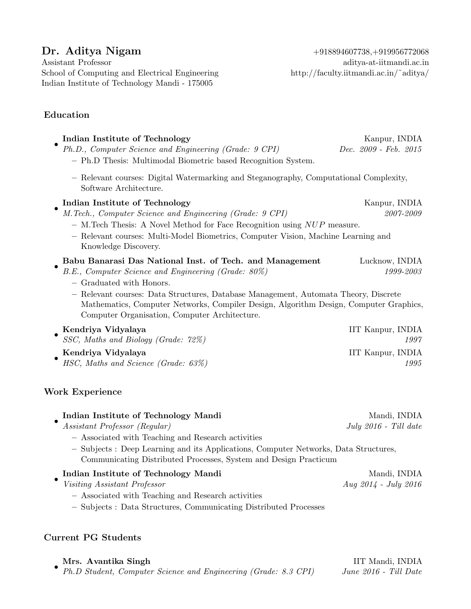Assistant Professor aditya-at-iitmandi.ac.in School of Computing and Electrical Engineering http://faculty.iitmandi.ac.in/~aditya/ Indian Institute of Technology Mandi - 175005

# Education

| Indian Institute of Technology                                                                                                         | Kanpur, INDIA         |
|----------------------------------------------------------------------------------------------------------------------------------------|-----------------------|
| Ph.D., Computer Science and Engineering (Grade: 9 CPI)                                                                                 | Dec. 2009 - Feb. 2015 |
| - Ph.D Thesis: Multimodal Biometric based Recognition System.                                                                          |                       |
| - Relevant courses: Digital Watermarking and Steganography, Computational Complexity,<br>Software Architecture.                        |                       |
| Indian Institute of Technology                                                                                                         | Kanpur, INDIA         |
| M. Tech., Computer Science and Engineering (Grade: 9 CPI)                                                                              | 2007-2009             |
| $-$ M.Tech Thesis: A Novel Method for Face Recognition using $NUP$ measure.                                                            |                       |
| - Relevant courses: Multi-Model Biometrics, Computer Vision, Machine Learning and<br>Knowledge Discovery.                              |                       |
| Babu Banarasi Das National Inst. of Tech. and Management                                                                               | Lucknow, INDIA        |
| B.E., Computer Science and Engineering (Grade: 80%)<br>- Graduated with Honors.                                                        | 1999-2003             |
| - Relevant courses: Data Structures, Database Management, Automata Theory, Discrete                                                    |                       |
| Mathematics, Computer Networks, Compiler Design, Algorithm Design, Computer Graphics,<br>Computer Organisation, Computer Architecture. |                       |
| Kendriya Vidyalaya                                                                                                                     | IIT Kanpur, INDIA     |
| SSC, Maths and Biology (Grade: 72%)                                                                                                    | 1997                  |
| Kendriya Vidyalaya                                                                                                                     | IIT Kanpur, INDIA     |
| HSC, Maths and Science (Grade: 63%)                                                                                                    | 1995                  |
| Work Experience                                                                                                                        |                       |
| Indian Institute of Technology Mandi                                                                                                   | Mandi, INDIA          |

• Assistant Professor (Regular) July 2016 - Till date – Associated with Teaching and Research activities – Subjects : Deep Learning and its Applications, Computer Networks, Data Structures, Communicating Distributed Processes, System and Design Practicum • Indian Institute of Technology Mandi Mandi, INDIA Visiting Assistant Professor Aug 2014 - July 2016 – Associated with Teaching and Research activities – Subjects : Data Structures, Communicating Distributed Processes

# Current PG Students

• Mrs. Avantika Singh IIT Mandi, INDIA Ph.D Student, Computer Science and Engineering (Grade: 8.3 CPI) June 2016 - Till Date

Dr. Aditya Nigam +918894607738, +919956772068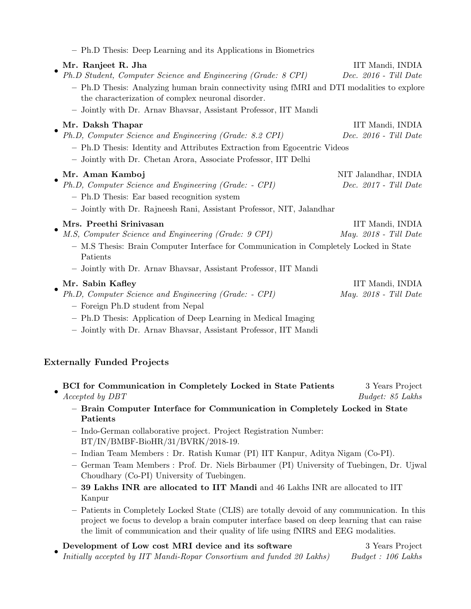| - Ph.D Thesis: Deep Learning and its Applications in Biometrics                                                                                                                                                                                                                                             |                                               |
|-------------------------------------------------------------------------------------------------------------------------------------------------------------------------------------------------------------------------------------------------------------------------------------------------------------|-----------------------------------------------|
| Mr. Ranjeet R. Jha<br>Ph.D Student, Computer Science and Engineering (Grade: 8 CPI)<br>- Ph.D Thesis: Analyzing human brain connectivity using fMRI and DTI modalities to explore<br>the characterization of complex neuronal disorder.<br>- Jointly with Dr. Arnav Bhavsar, Assistant Professor, IIT Mandi | IIT Mandi, INDIA<br>Dec. 2016 - Till Date     |
| Mr. Daksh Thapar<br>Ph.D, Computer Science and Engineering (Grade: 8.2 CPI)<br>- Ph.D Thesis: Identity and Attributes Extraction from Egocentric Videos<br>- Jointly with Dr. Chetan Arora, Associate Professor, IIT Delhi                                                                                  | IIT Mandi, INDIA<br>Dec. 2016 - Till Date     |
| Mr. Aman Kamboj<br>Ph.D, Computer Science and Engineering (Grade: - CPI)<br>- Ph.D Thesis: Ear based recognition system<br>- Jointly with Dr. Rajneesh Rani, Assistant Professor, NIT, Jalandhar                                                                                                            | NIT Jalandhar, INDIA<br>Dec. 2017 - Till Date |
| Mrs. Preethi Srinivasan<br>M.S, Computer Science and Engineering (Grade: 9 CPI)<br>- M.S Thesis: Brain Computer Interface for Communication in Completely Locked in State<br>Patients<br>- Jointly with Dr. Arnav Bhavsar, Assistant Professor, IIT Mandi                                                   | IIT Mandi, INDIA<br>May. 2018 - Till Date     |
| Mr. Sabin Kafley<br>Ph.D, Computer Science and Engineering (Grade: - CPI)<br>- Foreign Ph.D student from Nepal<br>- Ph.D Thesis: Application of Deep Learning in Medical Imaging<br>- Jointly with Dr. Arnav Bhavsar, Assistant Professor, IIT Mandi                                                        | IIT Mandi, INDIA<br>May. 2018 - Till Date     |

## Externally Funded Projects

•

| BCI for Communication in Completely Locked in State Patients | 3 Years Project  |
|--------------------------------------------------------------|------------------|
| <i>Accepted by DBT</i>                                       | Budget: 85 Lakhs |

- Brain Computer Interface for Communication in Completely Locked in State Patients
- Indo-German collaborative project. Project Registration Number: BT/IN/BMBF-BioHR/31/BVRK/2018-19.
- Indian Team Members : Dr. Ratish Kumar (PI) IIT Kanpur, Aditya Nigam (Co-PI).
- German Team Members : Prof. Dr. Niels Birbaumer (PI) University of Tuebingen, Dr. Ujwal Choudhary (Co-PI) University of Tuebingen.
- 39 Lakhs INR are allocated to IIT Mandi and 46 Lakhs INR are allocated to IIT Kanpur

– Patients in Completely Locked State (CLIS) are totally devoid of any communication. In this project we focus to develop a brain computer interface based on deep learning that can raise the limit of communication and their quality of life using fNIRS and EEG modalities.

• Development of Low cost MRI device and its software 3 Years Project Initially accepted by IIT Mandi-Ropar Consortium and funded 20 Lakhs) Budget : 106 Lakhs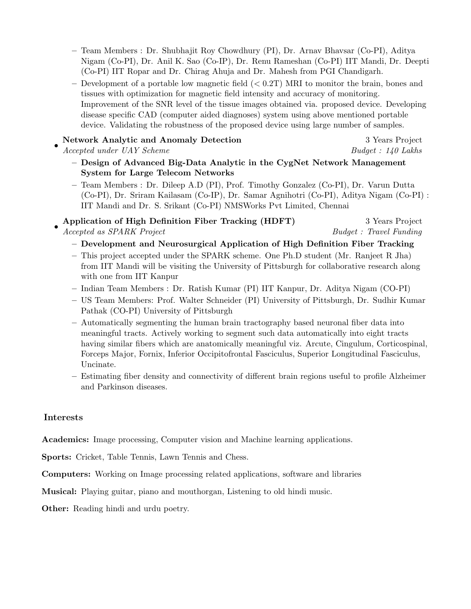- Team Members : Dr. Shubhajit Roy Chowdhury (PI), Dr. Arnav Bhavsar (Co-PI), Aditya Nigam (Co-PI), Dr. Anil K. Sao (Co-IP), Dr. Renu Rameshan (Co-PI) IIT Mandi, Dr. Deepti (Co-PI) IIT Ropar and Dr. Chirag Ahuja and Dr. Mahesh from PGI Chandigarh.
- Development of a portable low magnetic field  $( $0.2T$ ) MRI to monitor the brain, bones and$ tissues with optimization for magnetic field intensity and accuracy of monitoring. Improvement of the SNR level of the tissue images obtained via. proposed device. Developing disease specific CAD (computer aided diagnoses) system using above mentioned portable device. Validating the robustness of the proposed device using large number of samples.

### • Network Analytic and Anomaly Detection 3 Years Project

- Accepted under UAY Scheme Budget : 140 Lakhs
	- Design of Advanced Big-Data Analytic in the CygNet Network Management System for Large Telecom Networks
	- Team Members : Dr. Dileep A.D (PI), Prof. Timothy Gonzalez (Co-PI), Dr. Varun Dutta (Co-PI), Dr. Sriram Kailasam (Co-IP), Dr. Samar Agnihotri (Co-PI), Aditya Nigam (Co-PI) : IIT Mandi and Dr. S. Srikant (Co-PI) NMSWorks Pvt Limited, Chennai
- Application of High Definition Fiber Tracking (HDFT) 3 Years Project

• Accepted as SPARK Project Budget : Travel Funding

- Development and Neurosurgical Application of High Definition Fiber Tracking
- This project accepted under the SPARK scheme. One Ph.D student (Mr. Ranjeet R Jha) from IIT Mandi will be visiting the University of Pittsburgh for collaborative research along with one from IIT Kanpur
- Indian Team Members : Dr. Ratish Kumar (PI) IIT Kanpur, Dr. Aditya Nigam (CO-PI)
- US Team Members: Prof. Walter Schneider (PI) University of Pittsburgh, Dr. Sudhir Kumar Pathak (CO-PI) University of Pittsburgh
- Automatically segmenting the human brain tractography based neuronal fiber data into meaningful tracts. Actively working to segment such data automatically into eight tracts having similar fibers which are anatomically meaningful viz. Arcute, Cingulum, Corticospinal, Forceps Major, Fornix, Inferior Occipitofrontal Fasciculus, Superior Longitudinal Fasciculus, Uncinate.
- Estimating fiber density and connectivity of different brain regions useful to profile Alzheimer and Parkinson diseases.

### Interests

Academics: Image processing, Computer vision and Machine learning applications.

Sports: Cricket, Table Tennis, Lawn Tennis and Chess.

Computers: Working on Image processing related applications, software and libraries

Musical: Playing guitar, piano and mouthorgan, Listening to old hindi music.

Other: Reading hindi and urdu poetry.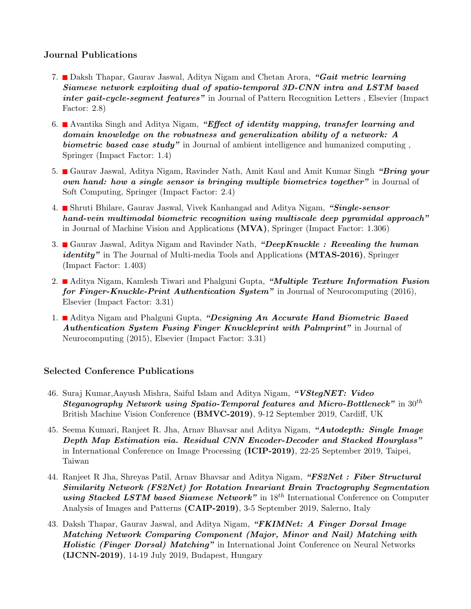### Journal Publications

- 7. Daksh Thapar, Gaurav Jaswal, Aditya Nigam and Chetan Arora, "Gait metric learning" Siamese network exploiting dual of spatio-temporal 3D-CNN intra and LSTM based inter gait-cycle-segment features" in Journal of Pattern Recognition Letters, Elsevier (Impact Factor: 2.8)
- 6. Avantika Singh and Aditya Nigam, "Effect of identity mapping, transfer learning and domain knowledge on the robustness and generalization ability of a network: A biometric based case study" in Journal of ambient intelligence and humanized computing, Springer (Impact Factor: 1.4)
- 5. Gaurav Jaswal, Aditya Nigam, Ravinder Nath, Amit Kaul and Amit Kumar Singh "Bring your own hand: how a single sensor is bringing multiple biometrics together" in Journal of Soft Computing, Springer (Impact Factor: 2.4)
- 4. Shruti Bhilare, Gaurav Jaswal, Vivek Kanhangad and Aditya Nigam, "Single-sensor hand-vein multimodal biometric recognition using multiscale deep pyramidal approach" in Journal of Machine Vision and Applications (MVA), Springer (Impact Factor: 1.306)
- 3. Gaurav Jaswal, Aditya Nigam and Ravinder Nath, "DeepKnuckle : Revealing the human identity" in The Journal of Multi-media Tools and Applications (MTAS-2016), Springer (Impact Factor: 1.403)
- 2. Aditya Nigam, Kamlesh Tiwari and Phalguni Gupta, "Multiple Texture Information Fusion" for Finger-Knuckle-Print Authentication System" in Journal of Neurocomputing  $(2016)$ , Elsevier (Impact Factor: 3.31)
- 1. Aditya Nigam and Phalguni Gupta, "Designing An Accurate Hand Biometric Based Authentication System Fusing Finger Knuckleprint with Palmprint" in Journal of Neurocomputing (2015), Elsevier (Impact Factor: 3.31)

### Selected Conference Publications

- 46. Suraj Kumar,Aayush Mishra, Saiful Islam and Aditya Nigam, "VStegNET: Video Steganography Network using Spatio-Temporal features and Micro-Bottleneck" in  $30^{th}$ British Machine Vision Conference (BMVC-2019), 9-12 September 2019, Cardiff, UK
- 45. Seema Kumari, Ranjeet R. Jha, Arnav Bhavsar and Aditya Nigam, "Autodepth: Single Image Depth Map Estimation via. Residual CNN Encoder-Decoder and Stacked Hourglass" in International Conference on Image Processing (ICIP-2019), 22-25 September 2019, Taipei, Taiwan
- 44. Ranjeet R Jha, Shreyas Patil, Arnav Bhavsar and Aditya Nigam, "FS2Net: Fiber Structural Similarity Network (FS2Net) for Rotation Invariant Brain Tractography Segmentation using Stacked LSTM based Siamese Network" in  $18^{th}$  International Conference on Computer Analysis of Images and Patterns (CAIP-2019), 3-5 September 2019, Salerno, Italy
- 43. Daksh Thapar, Gaurav Jaswal, and Aditya Nigam, "FKIMNet: A Finger Dorsal Image Matching Network Comparing Component (Major, Minor and Nail) Matching with **Holistic (Finger Dorsal) Matching"** in International Joint Conference on Neural Networks (IJCNN-2019), 14-19 July 2019, Budapest, Hungary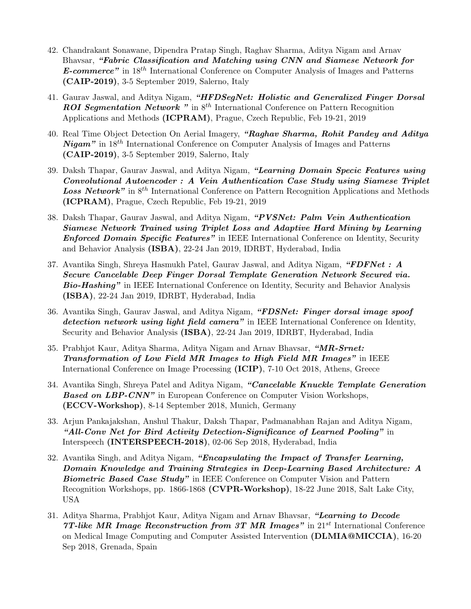- 42. Chandrakant Sonawane, Dipendra Pratap Singh, Raghav Sharma, Aditya Nigam and Arnav Bhavsar, "Fabric Classification and Matching using CNN and Siamese Network for **E-commerce**" in  $18^{th}$  International Conference on Computer Analysis of Images and Patterns (CAIP-2019), 3-5 September 2019, Salerno, Italy
- 41. Gaurav Jaswal, and Aditya Nigam, "HFDSegNet: Holistic and Generalized Finger Dorsal **ROI Segmentation Network** " in  $8^{th}$  International Conference on Pattern Recognition Applications and Methods (ICPRAM), Prague, Czech Republic, Feb 19-21, 2019
- 40. Real Time Object Detection On Aerial Imagery, "Raghav Sharma, Rohit Pandey and Aditya **Nigam**" in  $18^{th}$  International Conference on Computer Analysis of Images and Patterns (CAIP-2019), 3-5 September 2019, Salerno, Italy
- 39. Daksh Thapar, Gaurav Jaswal, and Aditya Nigam, "Learning Domain Specic Features using Convolutional Autoencoder : A Vein Authentication Case Study using Siamese Triplet **Loss Network**" in  $8^{th}$  International Conference on Pattern Recognition Applications and Methods (ICPRAM), Prague, Czech Republic, Feb 19-21, 2019
- 38. Daksh Thapar, Gaurav Jaswal, and Aditya Nigam, "PVSNet: Palm Vein Authentication Siamese Network Trained using Triplet Loss and Adaptive Hard Mining by Learning **Enforced Domain Specific Features"** in IEEE International Conference on Identity, Security and Behavior Analysis (ISBA), 22-24 Jan 2019, IDRBT, Hyderabad, India
- 37. Avantika Singh, Shreya Hasmukh Patel, Gaurav Jaswal, and Aditya Nigam, "**FDFNet** :  $\boldsymbol{A}$ Secure Cancelable Deep Finger Dorsal Template Generation Network Secured via. **Bio-Hashing"** in IEEE International Conference on Identity, Security and Behavior Analysis (ISBA), 22-24 Jan 2019, IDRBT, Hyderabad, India
- 36. Avantika Singh, Gaurav Jaswal, and Aditya Nigam, "FDSNet: Finger dorsal image spoof detection network using light field camera" in IEEE International Conference on Identity, Security and Behavior Analysis (ISBA), 22-24 Jan 2019, IDRBT, Hyderabad, India
- 35. Prabhjot Kaur, Aditya Sharma, Aditya Nigam and Arnav Bhavsar, "MR-Srnet: Transformation of Low Field MR Images to High Field MR Images" in IEEE International Conference on Image Processing (ICIP), 7-10 Oct 2018, Athens, Greece
- 34. Avantika Singh, Shreya Patel and Aditya Nigam, "Cancelable Knuckle Template Generation **Based on LBP-CNN**" in European Conference on Computer Vision Workshops, (ECCV-Workshop), 8-14 September 2018, Munich, Germany
- 33. Arjun Pankajakshan, Anshul Thakur, Daksh Thapar, Padmanabhan Rajan and Aditya Nigam, "All-Conv Net for Bird Activity Detection-Significance of Learned Pooling" in Interspeech (INTERSPEECH-2018), 02-06 Sep 2018, Hyderabad, India
- 32. Avantika Singh, and Aditya Nigam, "Encapsulating the Impact of Transfer Learning, Domain Knowledge and Training Strategies in Deep-Learning Based Architecture: A **Biometric Based Case Study"** in IEEE Conference on Computer Vision and Pattern Recognition Workshops, pp. 1866-1868 (CVPR-Workshop), 18-22 June 2018, Salt Lake City, USA
- 31. Aditya Sharma, Prabhjot Kaur, Aditya Nigam and Arnav Bhavsar, "Learning to Decode **7T-like MR Image Reconstruction from 3T MR Images**" in  $21^{st}$  International Conference on Medical Image Computing and Computer Assisted Intervention (DLMIA@MICCIA), 16-20 Sep 2018, Grenada, Spain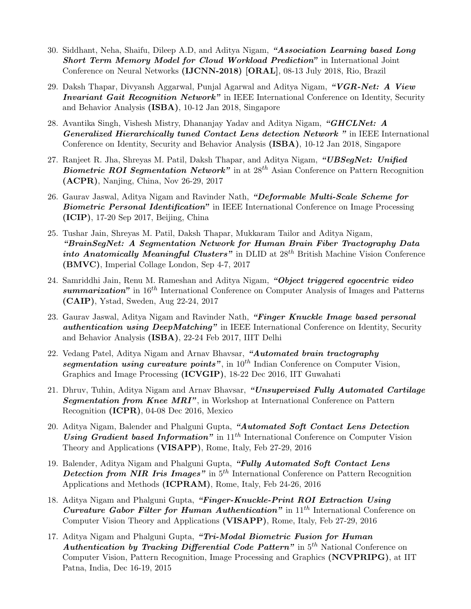- 30. Siddhant, Neha, Shaifu, Dileep A.D, and Aditya Nigam, "Association Learning based Long Short Term Memory Model for Cloud Workload Prediction" in International Joint Conference on Neural Networks (IJCNN-2018) [ORAL], 08-13 July 2018, Rio, Brazil
- 29. Daksh Thapar, Divyansh Aggarwal, Punjal Agarwal and Aditya Nigam, "VGR-Net: A View Invariant Gait Recognition Network" in IEEE International Conference on Identity, Security and Behavior Analysis (ISBA), 10-12 Jan 2018, Singapore
- 28. Avantika Singh, Vishesh Mistry, Dhananjay Yadav and Aditya Nigam, "GHCLNet: A Generalized Hierarchically tuned Contact Lens detection Network " in IEEE International Conference on Identity, Security and Behavior Analysis (ISBA), 10-12 Jan 2018, Singapore
- 27. Ranjeet R. Jha, Shreyas M. Patil, Daksh Thapar, and Aditya Nigam, "UBSegNet: Unified **Biometric ROI Segmentation Network**" in at  $28^{th}$  Asian Conference on Pattern Recognition (ACPR), Nanjing, China, Nov 26-29, 2017
- 26. Gaurav Jaswal, Aditya Nigam and Ravinder Nath, "Deformable Multi-Scale Scheme for **Biometric Personal Identification**" in IEEE International Conference on Image Processing (ICIP), 17-20 Sep 2017, Beijing, China
- 25. Tushar Jain, Shreyas M. Patil, Daksh Thapar, Mukkaram Tailor and Aditya Nigam, "BrainSegNet: A Segmentation Network for Human Brain Fiber Tractography Data into Anatomically Meaningful Clusters" in DLID at  $28^{th}$  British Machine Vision Conference (BMVC), Imperial Collage London, Sep 4-7, 2017
- 24. Samriddhi Jain, Renu M. Rameshan and Aditya Nigam, "Object triggered egocentric video summarization" in  $16^{th}$  International Conference on Computer Analysis of Images and Patterns (CAIP), Ystad, Sweden, Aug 22-24, 2017
- 23. Gaurav Jaswal, Aditya Nigam and Ravinder Nath, "Finger Knuckle Image based personal authentication using DeepMatching" in IEEE International Conference on Identity, Security and Behavior Analysis (ISBA), 22-24 Feb 2017, IIIT Delhi
- 22. Vedang Patel, Aditya Nigam and Arnav Bhavsar, "Automated brain tractography segmentation using curvature points", in  $10^{th}$  Indian Conference on Computer Vision, Graphics and Image Processing (ICVGIP), 18-22 Dec 2016, IIT Guwahati
- 21. Dhruv, Tuhin, Aditya Nigam and Arnav Bhavsar, "Unsupervised Fully Automated Cartilage **Segmentation from Knee MRI**", in Workshop at International Conference on Pattern Recognition (ICPR), 04-08 Dec 2016, Mexico
- 20. Aditya Nigam, Balender and Phalguni Gupta, "Automated Soft Contact Lens Detection Using Gradient based Information" in  $11^{th}$  International Conference on Computer Vision Theory and Applications (VISAPP), Rome, Italy, Feb 27-29, 2016
- 19. Balender, Aditya Nigam and Phalguni Gupta, "Fully Automated Soft Contact Lens Detection from NIR Iris Images" in  $5<sup>th</sup>$  International Conference on Pattern Recognition Applications and Methods (ICPRAM), Rome, Italy, Feb 24-26, 2016
- 18. Aditya Nigam and Phalguni Gupta, "Finger-Knuckle-Print ROI Extraction Using Curvature Gabor Filter for Human Authentication" in  $11^{th}$  International Conference on Computer Vision Theory and Applications (VISAPP), Rome, Italy, Feb 27-29, 2016
- 17. Aditya Nigam and Phalguni Gupta, "Tri-Modal Biometric Fusion for Human Authentication by Tracking Differential Code Pattern" in  $5^{th}$  National Conference on Computer Vision, Pattern Recognition, Image Processing and Graphics (NCVPRIPG), at IIT Patna, India, Dec 16-19, 2015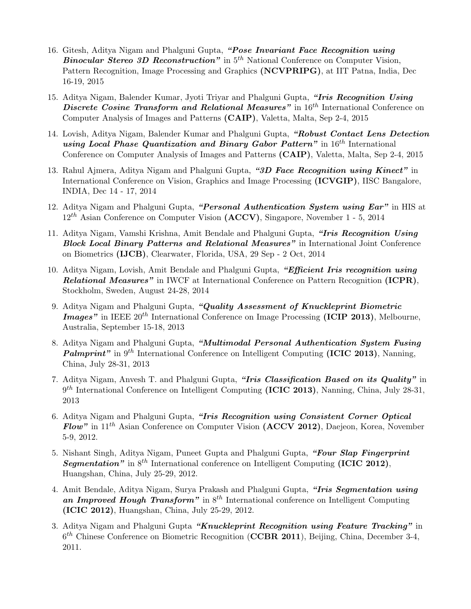- 16. Gitesh, Aditya Nigam and Phalguni Gupta, "Pose Invariant Face Recognition using **Binocular Stereo 3D Reconstruction**" in  $5<sup>th</sup>$  National Conference on Computer Vision, Pattern Recognition, Image Processing and Graphics (NCVPRIPG), at IIT Patna, India, Dec 16-19, 2015
- 15. Aditya Nigam, Balender Kumar, Jyoti Triyar and Phalguni Gupta, "Iris Recognition Using Discrete Cosine Transform and Relational Measures" in  $16^{th}$  International Conference on Computer Analysis of Images and Patterns (CAIP), Valetta, Malta, Sep 2-4, 2015
- 14. Lovish, Aditya Nigam, Balender Kumar and Phalguni Gupta, "Robust Contact Lens Detection using Local Phase Quantization and Binary Gabor Pattern" in  $16^{th}$  International Conference on Computer Analysis of Images and Patterns (CAIP), Valetta, Malta, Sep 2-4, 2015
- 13. Rahul Ajmera, Aditya Nigam and Phalguni Gupta, "3D Face Recognition using Kinect" in International Conference on Vision, Graphics and Image Processing (ICVGIP), IISC Bangalore, INDIA, Dec 14 - 17, 2014
- 12. Aditya Nigam and Phalguni Gupta, "Personal Authentication System using Ear" in HIS at  $12^{th}$  Asian Conference on Computer Vision (ACCV), Singapore, November 1 - 5, 2014
- 11. Aditya Nigam, Vamshi Krishna, Amit Bendale and Phalguni Gupta, "Iris Recognition Using **Block Local Binary Patterns and Relational Measures"** in International Joint Conference on Biometrics (IJCB), Clearwater, Florida, USA, 29 Sep - 2 Oct, 2014
- 10. Aditya Nigam, Lovish, Amit Bendale and Phalguni Gupta, "Efficient Iris recognition using Relational Measures" in IWCF at International Conference on Pattern Recognition (ICPR), Stockholm, Sweden, August 24-28, 2014
- 9. Aditya Nigam and Phalguni Gupta, "Quality Assessment of Knuckleprint Biometric **Images**" in IEEE  $20^{th}$  International Conference on Image Processing (ICIP 2013), Melbourne, Australia, September 15-18, 2013
- 8. Aditya Nigam and Phalguni Gupta, "Multimodal Personal Authentication System Fusing **Palmprint**" in 9<sup>th</sup> International Conference on Intelligent Computing (ICIC 2013), Nanning, China, July 28-31, 2013
- 7. Aditya Nigam, Anvesh T. and Phalguni Gupta, "Iris Classification Based on its Quality" in  $9<sup>th</sup>$  International Conference on Intelligent Computing (ICIC 2013), Nanning, China, July 28-31, 2013
- 6. Aditya Nigam and Phalguni Gupta, "Iris Recognition using Consistent Corner Optical **Flow**" in  $11^{th}$  Asian Conference on Computer Vision (ACCV 2012), Daejeon, Korea, November 5-9, 2012.
- 5. Nishant Singh, Aditya Nigam, Puneet Gupta and Phalguni Gupta, "Four Slap Fingerprint" **Segmentation**" in  $8^{th}$  International conference on Intelligent Computing (ICIC 2012), Huangshan, China, July 25-29, 2012.
- 4. Amit Bendale, Aditya Nigam, Surya Prakash and Phalguni Gupta, "Iris Segmentation using an Improved Hough Transform" in  $8^{th}$  International conference on Intelligent Computing (ICIC 2012), Huangshan, China, July 25-29, 2012.
- 3. Aditya Nigam and Phalguni Gupta "Knuckleprint Recognition using Feature Tracking" in  $6<sup>th</sup>$  Chinese Conference on Biometric Recognition (CCBR 2011), Beijing, China, December 3-4, 2011.